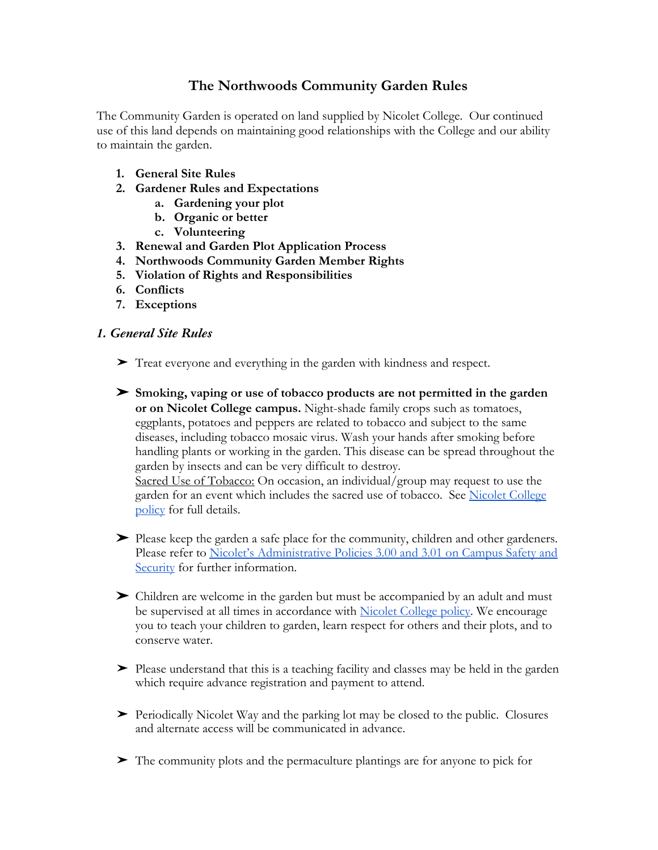# **The Northwoods Community Garden Rules**

The Community Garden is operated on land supplied by Nicolet College. Our continued use of this land depends on maintaining good relationships with the College and our ability to maintain the garden.

- **1. General Site Rules**
- **2. Gardener Rules and Expectations**
	- **a. Gardening your plot**
	- **b. Organic or better**
	- **c. Volunteering**
- **3. Renewal and Garden Plot Application Process**
- **4. Northwoods Community Garden Member Rights**
- **5. Violation of Rights and Responsibilities**
- **6. Conflicts**
- **7. Exceptions**

### *1. General Site Rules*

- ➤ Treat everyone and everything in the garden with kindness and respect.
- ➤ **Smoking, vaping or use of tobacco products are not permitted in the garden or on Nicolet College campus.** Night-shade family crops such as tomatoes, eggplants, potatoes and peppers are related to tobacco and subject to the same diseases, including tobacco mosaic virus. Wash your hands after smoking before handling plants or working in the garden. This disease can be spread throughout the garden by insects and can be very difficult to destroy. Sacred Use of Tobacco: On occasion, an individual/group may request to use the garden for an event which includes the sacred use of tobacco. See [Nicolet College](https://www.nicoletcollege.edu/about/compliance/student-policies/student-rights-safety-and-security/tobacco-free-campus-policy) [policy](https://www.nicoletcollege.edu/about/compliance/student-policies/student-rights-safety-and-security/tobacco-free-campus-policy) for full details.
- ➤ Please keep the garden a safe place for the community, children and other gardeners. Please refer to [Nicolet's Administrative Policies 3.00 and 3.01 on Campus Safety and](https://www.nicoletcollege.edu/about/compliance/administrative-policies/30-safety-and-security) [Security](https://www.nicoletcollege.edu/about/compliance/administrative-policies/30-safety-and-security) for further information.
- ➤ Children are welcome in the garden but must be accompanied by an adult and must be supervised at all times in accordance with [Nicolet College policy.](https://www.nicoletcollege.edu/about/compliance/administrative-policies/40-human-resources/408-children-campus) We encourage you to teach your children to garden, learn respect for others and their plots, and to conserve water.
- ➤ Please understand that this is a teaching facility and classes may be held in the garden which require advance registration and payment to attend.
- ➤ Periodically Nicolet Way and the parking lot may be closed to the public. Closures and alternate access will be communicated in advance.
- ➤ The community plots and the permaculture plantings are for anyone to pick for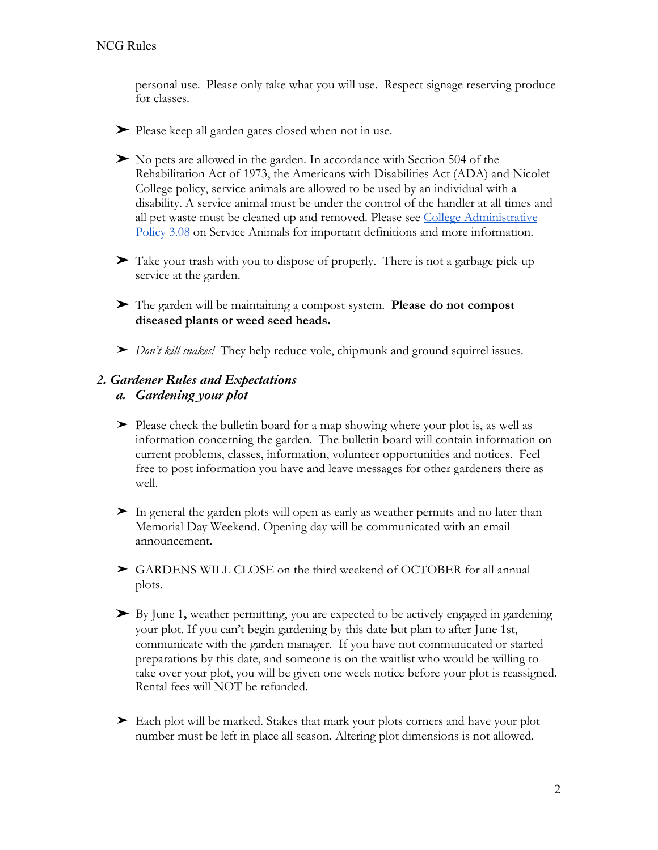personal use. Please only take what you will use. Respect signage reserving produce for classes.

- ➤ Please keep all garden gates closed when not in use.
- ➤ No pets are allowed in the garden. In accordance with Section 504 of the Rehabilitation Act of 1973, the Americans with Disabilities Act (ADA) and Nicolet College policy, service animals are allowed to be used by an individual with a disability. A service animal must be under the control of the handler at all times and all pet waste must be cleaned up and removed. Please see [College Administrative](https://www.nicoletcollege.edu/about/compliance/administrative-policies/30-safety-and-security/308-service-animals) [Policy 3.08](https://www.nicoletcollege.edu/about/compliance/administrative-policies/30-safety-and-security/308-service-animals) on Service Animals for important definitions and more information.
- ➤ Take your trash with you to dispose of properly. There is not a garbage pick-up service at the garden.
- ➤ The garden will be maintaining a compost system. **Please do not compost diseased plants or weed seed heads.**
- ➤ *Don't kill snakes!* They help reduce vole, chipmunk and ground squirrel issues.

# *2. Gardener Rules and Expectations*

### *a. Gardening your plot*

- ➤ Please check the bulletin board for a map showing where your plot is, as well as information concerning the garden. The bulletin board will contain information on current problems, classes, information, volunteer opportunities and notices. Feel free to post information you have and leave messages for other gardeners there as well.
- $\blacktriangleright$  In general the garden plots will open as early as weather permits and no later than Memorial Day Weekend. Opening day will be communicated with an email announcement.
- ► GARDENS WILL CLOSE on the third weekend of OCTOBER for all annual plots.
- ➤ By June 1**,** weather permitting, you are expected to be actively engaged in gardening your plot. If you can't begin gardening by this date but plan to after June 1st, communicate with the garden manager. If you have not communicated or started preparations by this date, and someone is on the waitlist who would be willing to take over your plot, you will be given one week notice before your plot is reassigned. Rental fees will NOT be refunded.
- ➤ Each plot will be marked. Stakes that mark your plots corners and have your plot number must be left in place all season. Altering plot dimensions is not allowed.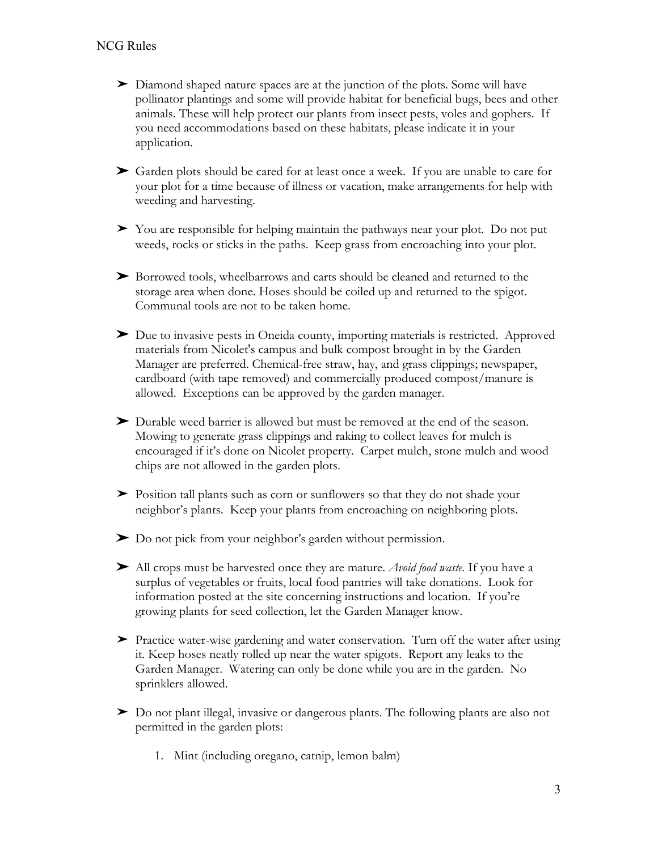- ➤ Diamond shaped nature spaces are at the junction of the plots. Some will have pollinator plantings and some will provide habitat for beneficial bugs, bees and other animals. These will help protect our plants from insect pests, voles and gophers. If you need accommodations based on these habitats, please indicate it in your application.
- ➤ Garden plots should be cared for at least once a week. If you are unable to care for your plot for a time because of illness or vacation, make arrangements for help with weeding and harvesting.
- ➤ You are responsible for helping maintain the pathways near your plot. Do not put weeds, rocks or sticks in the paths.Keep grass from encroaching into your plot.
- ➤ Borrowed tools, wheelbarrows and carts should be cleaned and returned to the storage area when done. Hoses should be coiled up and returned to the spigot. Communal tools are not to be taken home.
- ➤ Due to invasive pests in Oneida county, importing materials is restricted. Approved materials from Nicolet's campus and bulk compost brought in by the Garden Manager are preferred. Chemical-free straw, hay, and grass clippings; newspaper, cardboard (with tape removed) and commercially produced compost/manure is allowed. Exceptions can be approved by the garden manager.
- ➤ Durable weed barrier is allowed but must be removed at the end of the season. Mowing to generate grass clippings and raking to collect leaves for mulch is encouraged if it's done on Nicolet property. Carpet mulch, stone mulch and wood chips are not allowed in the garden plots.
- ➤ Position tall plants such as corn or sunflowers so that they do not shade your neighbor's plants.Keep your plants from encroaching on neighboring plots.
- ➤ Do not pick from your neighbor's garden without permission.
- ➤ All crops must be harvested once they are mature. *Avoid food waste.* If you have a surplus of vegetables or fruits, local food pantries will take donations. Look for information posted at the site concerning instructions and location. If you're growing plants for seed collection, let the Garden Manager know.
- ➤ Practice water-wise gardening and water conservation. Turn off the water after using it. Keep hoses neatly rolled up near the water spigots. Report any leaks to the Garden Manager. Watering can only be done while you are in the garden. No sprinklers allowed.
- ➤ Do not plant illegal, invasive or dangerous plants. The following plants are also not permitted in the garden plots:
	- 1. Mint (including oregano, catnip, lemon balm)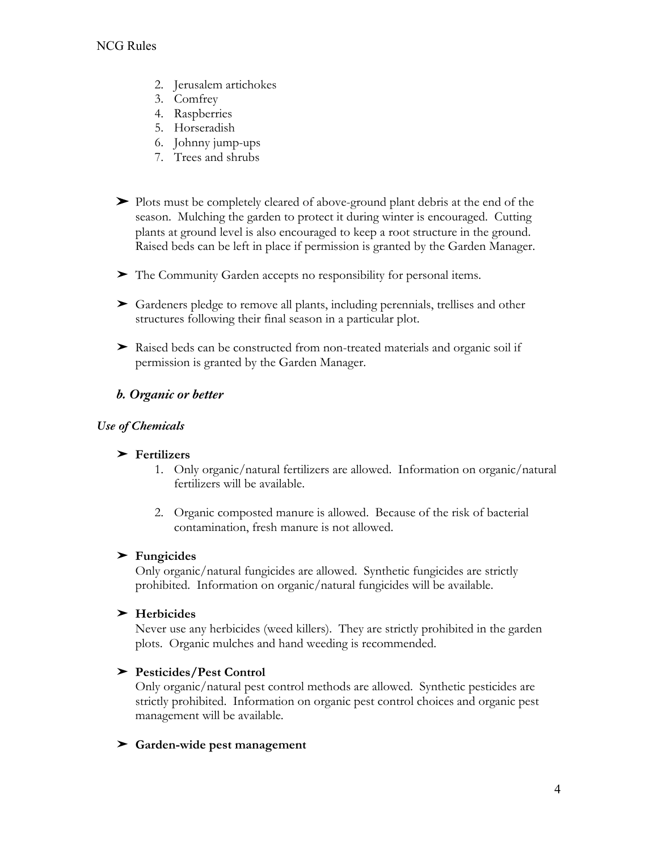- 2. Jerusalem artichokes
- 3. Comfrey
- 4. Raspberries
- 5. Horseradish
- 6. Johnny jump-ups
- 7. Trees and shrubs
- ➤ Plots must be completely cleared of above-ground plant debris at the end of the season. Mulching the garden to protect it during winter is encouraged. Cutting plants at ground level is also encouraged to keep a root structure in the ground. Raised beds can be left in place if permission is granted by the Garden Manager.
- ➤ The Community Garden accepts no responsibility for personal items.
- ➤ Gardeners pledge to remove all plants, including perennials, trellises and other structures following their final season in a particular plot.
- ➤ Raised beds can be constructed from non-treated materials and organic soil if permission is granted by the Garden Manager.

# *b. Organic or better*

### *Use of Chemicals*

### ➤ **Fertilizers**

- 1. Only organic/natural fertilizers are allowed. Information on organic/natural fertilizers will be available.
- 2. Organic composted manure is allowed. Because of the risk of bacterial contamination, fresh manure is not allowed.

### ➤ **Fungicides**

Only organic/natural fungicides are allowed. Synthetic fungicides are strictly prohibited. Information on organic/natural fungicides will be available.

### ➤ **Herbicides**

Never use any herbicides (weed killers). They are strictly prohibited in the garden plots. Organic mulches and hand weeding is recommended.

# ➤ **Pesticides/Pest Control**

Only organic/natural pest control methods are allowed. Synthetic pesticides are strictly prohibited. Information on organic pest control choices and organic pest management will be available.

### ➤ **Garden-wide pest management**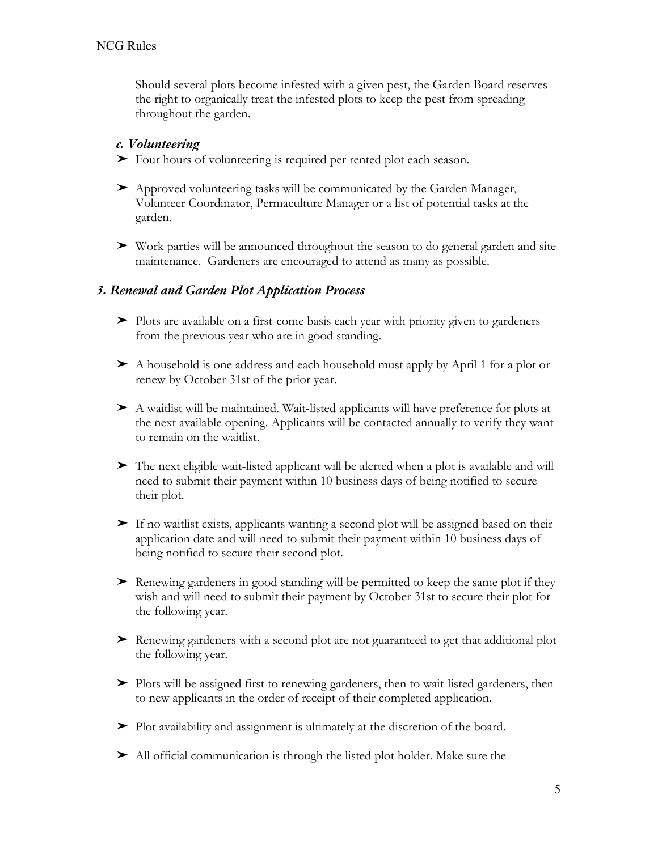Should several plots become infested with a given pest, the Garden Board reserves the right to organically treat the infested plots to keep the pest from spreading throughout the garden.

# *c. Volunteering*

- ➤ Four hours of volunteering is required per rented plot each season.
- ➤ Approved volunteering tasks will be communicated by the Garden Manager, Volunteer Coordinator, Permaculture Manager or a list of potential tasks at the garden.
- ➤ Work parties will be announced throughout the season to do general garden and site maintenance. Gardeners are encouraged to attend as many as possible.

### *3. Renewal and Garden Plot Application Process*

- ➤ Plots are available on a first-come basis each year with priority given to gardeners from the previous year who are in good standing.
- ➤ A household is one address and each household must apply by April 1 for a plot or renew by October 31st of the prior year.
- ➤ A waitlist will be maintained. Wait-listed applicants will have preference for plots at the next available opening. Applicants will be contacted annually to verify they want to remain on the waitlist.
- ➤ The next eligible wait-listed applicant will be alerted when a plot is available and will need to submit their payment within 10 business days of being notified to secure their plot.
- ➤ If no waitlist exists, applicants wanting a second plot will be assigned based on their application date and will need to submit their payment within 10 business days of being notified to secure their second plot.
- ➤ Renewing gardeners in good standing will be permitted to keep the same plot if they wish and will need to submit their payment by October 31st to secure their plot for the following year.
- ➤ Renewing gardeners with a second plot are not guaranteed to get that additional plot the following year.
- ➤ Plots will be assigned first to renewing gardeners, then to wait-listed gardeners, then to new applicants in the order of receipt of their completed application.
- ➤ Plot availability and assignment is ultimately at the discretion of the board.
- ➤ All official communication is through the listed plot holder. Make sure the